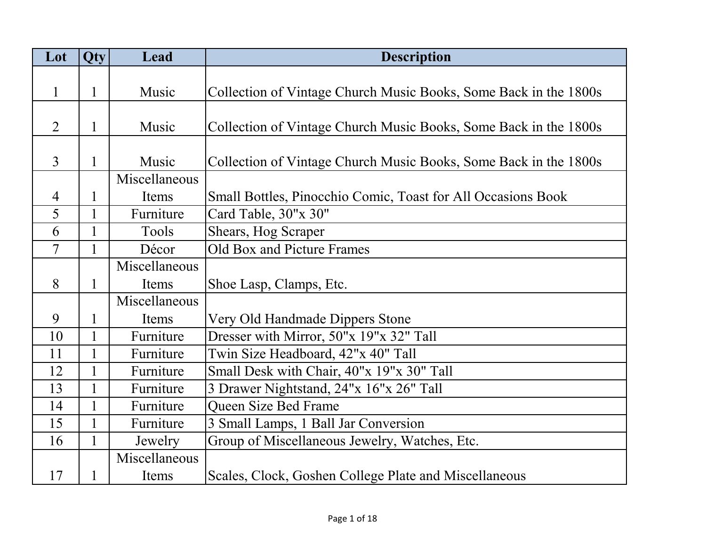| Lot            | Qty          | Lead          | <b>Description</b>                                               |
|----------------|--------------|---------------|------------------------------------------------------------------|
|                |              |               |                                                                  |
| $\mathbf{1}$   | $\mathbf{1}$ | Music         | Collection of Vintage Church Music Books, Some Back in the 1800s |
|                |              |               |                                                                  |
| $\overline{2}$ | $\mathbf{1}$ | Music         | Collection of Vintage Church Music Books, Some Back in the 1800s |
|                |              |               |                                                                  |
| $\overline{3}$ | $\mathbf{1}$ | Music         | Collection of Vintage Church Music Books, Some Back in the 1800s |
|                |              | Miscellaneous |                                                                  |
| $\overline{4}$ | $\mathbf 1$  | Items         | Small Bottles, Pinocchio Comic, Toast for All Occasions Book     |
| 5              | $\mathbf{1}$ | Furniture     | Card Table, 30"x 30"                                             |
| 6              | 1            | Tools         | Shears, Hog Scraper                                              |
| $\overline{7}$ | $\mathbf{1}$ | Décor         | Old Box and Picture Frames                                       |
|                |              | Miscellaneous |                                                                  |
| 8              | $\mathbf{1}$ | Items         | Shoe Lasp, Clamps, Etc.                                          |
|                |              | Miscellaneous |                                                                  |
| 9              |              | Items         | Very Old Handmade Dippers Stone                                  |
| 10             |              | Furniture     | Dresser with Mirror, 50"x 19"x 32" Tall                          |
| 11             |              | Furniture     | Twin Size Headboard, 42"x 40" Tall                               |
| 12             | $\mathbf{1}$ | Furniture     | Small Desk with Chair, 40"x 19"x 30" Tall                        |
| 13             | $\mathbf{1}$ | Furniture     | 3 Drawer Nightstand, 24"x 16"x 26" Tall                          |
| 14             | $\mathbf{1}$ | Furniture     | Queen Size Bed Frame                                             |
| 15             | $\mathbf{1}$ | Furniture     | 3 Small Lamps, 1 Ball Jar Conversion                             |
| 16             | $\mathbf{1}$ | Jewelry       | Group of Miscellaneous Jewelry, Watches, Etc.                    |
|                |              | Miscellaneous |                                                                  |
| 17             | 1            | Items         | Scales, Clock, Goshen College Plate and Miscellaneous            |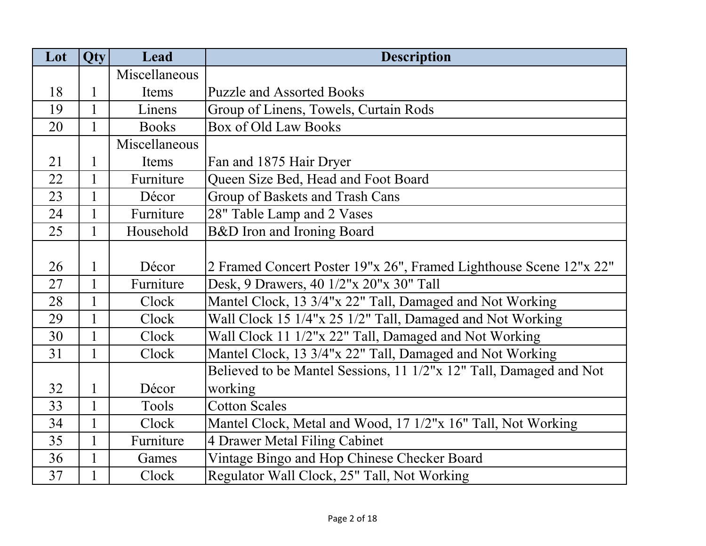| Lot | Qty          | Lead          | <b>Description</b>                                                 |
|-----|--------------|---------------|--------------------------------------------------------------------|
|     |              | Miscellaneous |                                                                    |
| 18  | 1            | Items         | <b>Puzzle and Assorted Books</b>                                   |
| 19  | $\mathbf{1}$ | Linens        | Group of Linens, Towels, Curtain Rods                              |
| 20  | 1            | <b>Books</b>  | Box of Old Law Books                                               |
|     |              | Miscellaneous |                                                                    |
| 21  | 1            | Items         | Fan and 1875 Hair Dryer                                            |
| 22  | $\mathbf{1}$ | Furniture     | Queen Size Bed, Head and Foot Board                                |
| 23  | 1            | Décor         | Group of Baskets and Trash Cans                                    |
| 24  | 1            | Furniture     | 28" Table Lamp and 2 Vases                                         |
| 25  | 1            | Household     | B&D Iron and Ironing Board                                         |
|     |              |               |                                                                    |
| 26  | $\mathbf{1}$ | Décor         | 2 Framed Concert Poster 19"x 26", Framed Lighthouse Scene 12"x 22" |
| 27  | $\mathbf{1}$ | Furniture     | Desk, 9 Drawers, 40 1/2"x 20"x 30" Tall                            |
| 28  | $\mathbf{1}$ | Clock         | Mantel Clock, 13 3/4"x 22" Tall, Damaged and Not Working           |
| 29  | $\mathbf{1}$ | Clock         | Wall Clock 15 1/4"x 25 1/2" Tall, Damaged and Not Working          |
| 30  |              | Clock         | Wall Clock 11 1/2"x 22" Tall, Damaged and Not Working              |
| 31  | 1            | Clock         | Mantel Clock, 13 3/4"x 22" Tall, Damaged and Not Working           |
|     |              |               | Believed to be Mantel Sessions, 11 1/2"x 12" Tall, Damaged and Not |
| 32  | $\mathbf{1}$ | Décor         | working                                                            |
| 33  | $\mathbf{1}$ | Tools         | <b>Cotton Scales</b>                                               |
| 34  | $\mathbf{1}$ | Clock         | Mantel Clock, Metal and Wood, 17 1/2"x 16" Tall, Not Working       |
| 35  | $\mathbf{1}$ | Furniture     | 4 Drawer Metal Filing Cabinet                                      |
| 36  | $\mathbf{1}$ | Games         | Vintage Bingo and Hop Chinese Checker Board                        |
| 37  |              | Clock         | Regulator Wall Clock, 25" Tall, Not Working                        |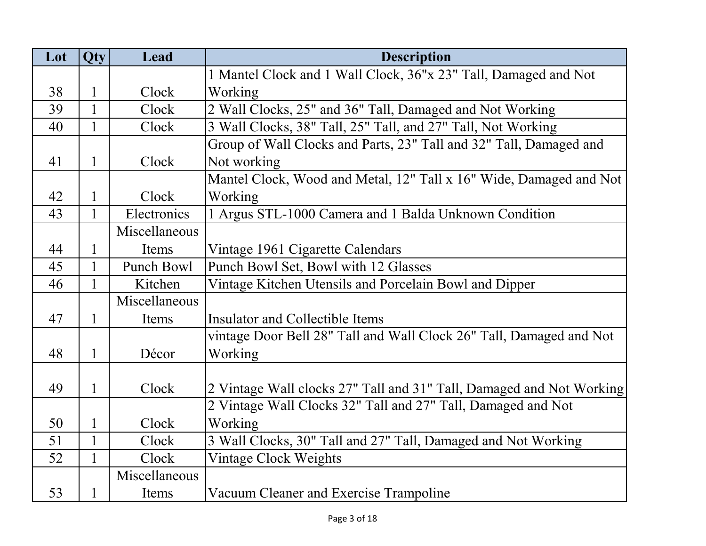| Lot | Qty          | Lead          | <b>Description</b>                                                   |
|-----|--------------|---------------|----------------------------------------------------------------------|
|     |              |               | 1 Mantel Clock and 1 Wall Clock, 36"x 23" Tall, Damaged and Not      |
| 38  | $\mathbf{1}$ | Clock         | Working                                                              |
| 39  | $\mathbf{1}$ | Clock         | 2 Wall Clocks, 25" and 36" Tall, Damaged and Not Working             |
| 40  | $\mathbf{1}$ | Clock         | 3 Wall Clocks, 38" Tall, 25" Tall, and 27" Tall, Not Working         |
|     |              |               | Group of Wall Clocks and Parts, 23" Tall and 32" Tall, Damaged and   |
| 41  | $\mathbf{1}$ | Clock         | Not working                                                          |
|     |              |               | Mantel Clock, Wood and Metal, 12" Tall x 16" Wide, Damaged and Not   |
| 42  | $\mathbf{1}$ | Clock         | Working                                                              |
| 43  | $\mathbf{1}$ | Electronics   | 1 Argus STL-1000 Camera and 1 Balda Unknown Condition                |
|     |              | Miscellaneous |                                                                      |
| 44  | $\mathbf{1}$ | Items         | Vintage 1961 Cigarette Calendars                                     |
| 45  | $\mathbf{1}$ | Punch Bowl    | Punch Bowl Set, Bowl with 12 Glasses                                 |
| 46  | $\mathbf{1}$ | Kitchen       | Vintage Kitchen Utensils and Porcelain Bowl and Dipper               |
|     |              | Miscellaneous |                                                                      |
| 47  | $\mathbf{1}$ | Items         | Insulator and Collectible Items                                      |
|     |              |               | vintage Door Bell 28" Tall and Wall Clock 26" Tall, Damaged and Not  |
| 48  | $\mathbf{1}$ | Décor         | Working                                                              |
|     |              |               |                                                                      |
| 49  | 1            | Clock         | 2 Vintage Wall clocks 27" Tall and 31" Tall, Damaged and Not Working |
|     |              |               | 2 Vintage Wall Clocks 32" Tall and 27" Tall, Damaged and Not         |
| 50  | 1            | Clock         | Working                                                              |
| 51  | $\mathbf{1}$ | Clock         | 3 Wall Clocks, 30" Tall and 27" Tall, Damaged and Not Working        |
| 52  | $\mathbf{1}$ | Clock         | Vintage Clock Weights                                                |
|     |              | Miscellaneous |                                                                      |
| 53  | $\mathbf{1}$ | Items         | Vacuum Cleaner and Exercise Trampoline                               |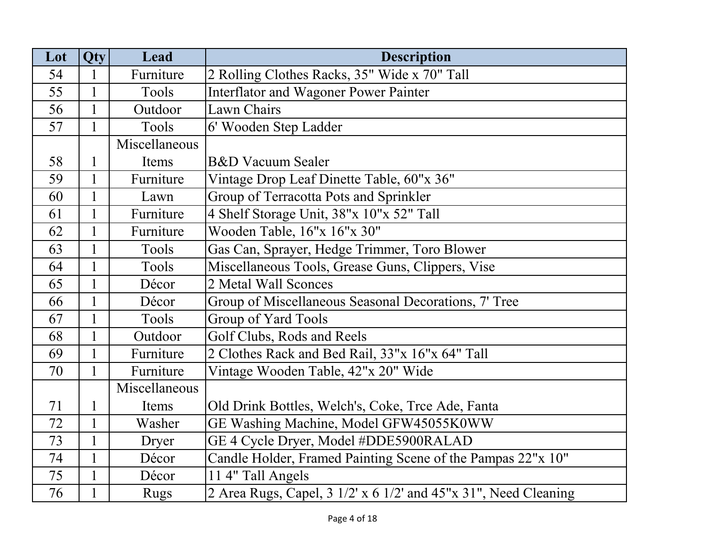| Lot | Qty          | Lead          | <b>Description</b>                                                                      |
|-----|--------------|---------------|-----------------------------------------------------------------------------------------|
| 54  | 1            | Furniture     | 2 Rolling Clothes Racks, 35" Wide x 70" Tall                                            |
| 55  | $\mathbf{1}$ | Tools         | <b>Interflator and Wagoner Power Painter</b>                                            |
| 56  | $\mathbf{1}$ | Outdoor       | Lawn Chairs                                                                             |
| 57  | $\mathbf 1$  | Tools         | 6' Wooden Step Ladder                                                                   |
|     |              | Miscellaneous |                                                                                         |
| 58  | 1            | Items         | B&D Vacuum Sealer                                                                       |
| 59  | 1            | Furniture     | Vintage Drop Leaf Dinette Table, 60"x 36"                                               |
| 60  | $\mathbf{1}$ | Lawn          | Group of Terracotta Pots and Sprinkler                                                  |
| 61  | $\mathbf 1$  | Furniture     | 4 Shelf Storage Unit, 38"x 10"x 52" Tall                                                |
| 62  | $\mathbf{1}$ | Furniture     | Wooden Table, 16"x 16"x 30"                                                             |
| 63  | $\mathbf 1$  | Tools         | Gas Can, Sprayer, Hedge Trimmer, Toro Blower                                            |
| 64  | $\mathbf 1$  | Tools         | Miscellaneous Tools, Grease Guns, Clippers, Vise                                        |
| 65  | $\mathbf{1}$ | Décor         | 2 Metal Wall Sconces                                                                    |
| 66  | $\mathbf{1}$ | Décor         | Group of Miscellaneous Seasonal Decorations, 7' Tree                                    |
| 67  | $\mathbf{1}$ | Tools         | Group of Yard Tools                                                                     |
| 68  | 1            | Outdoor       | Golf Clubs, Rods and Reels                                                              |
| 69  | $\mathbf{1}$ | Furniture     | 2 Clothes Rack and Bed Rail, 33"x 16"x 64" Tall                                         |
| 70  | $\mathbf 1$  | Furniture     | Vintage Wooden Table, 42"x 20" Wide                                                     |
|     |              | Miscellaneous |                                                                                         |
| 71  | 1            | Items         | Old Drink Bottles, Welch's, Coke, Trce Ade, Fanta                                       |
| 72  | $\mathbf{1}$ | Washer        | GE Washing Machine, Model GFW45055K0WW                                                  |
| 73  | $\mathbf{1}$ | Dryer         | GE 4 Cycle Dryer, Model #DDE5900RALAD                                                   |
| 74  | $\mathbf{1}$ | Décor         | Candle Holder, Framed Painting Scene of the Pampas 22"x 10"                             |
| 75  | $\mathbf{1}$ | Décor         | 11 4" Tall Angels                                                                       |
| 76  | $\mathbf{1}$ | Rugs          | 2 Area Rugs, Capel, $3 \frac{1}{2}$ x 6 $\frac{1}{2}$ and $45$ "x $31$ ", Need Cleaning |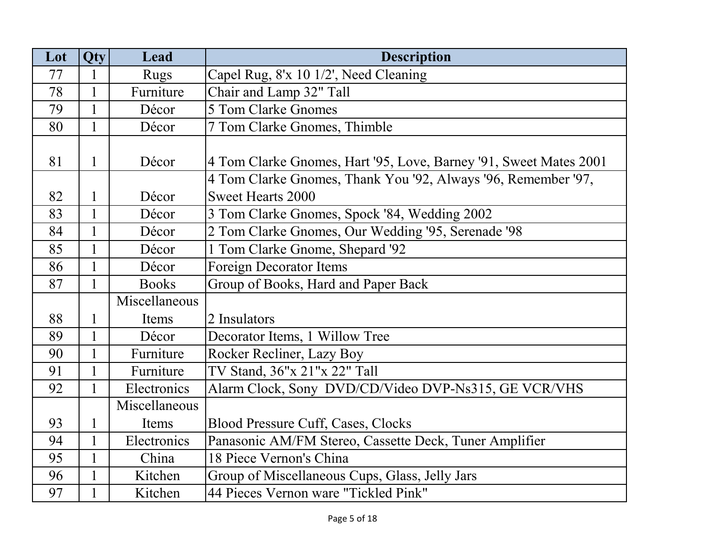| Lot | Qty          | Lead          | <b>Description</b>                                                |
|-----|--------------|---------------|-------------------------------------------------------------------|
| 77  | 1            | <b>Rugs</b>   | Capel Rug, 8'x 10 1/2', Need Cleaning                             |
| 78  | 1            | Furniture     | Chair and Lamp 32" Tall                                           |
| 79  | $\mathbf{1}$ | Décor         | 5 Tom Clarke Gnomes                                               |
| 80  | 1            | Décor         | 7 Tom Clarke Gnomes, Thimble                                      |
| 81  | 1            | Décor         | 4 Tom Clarke Gnomes, Hart '95, Love, Barney '91, Sweet Mates 2001 |
|     |              |               | 4 Tom Clarke Gnomes, Thank You '92, Always '96, Remember '97,     |
| 82  | 1            | Décor         | <b>Sweet Hearts 2000</b>                                          |
| 83  | 1            | Décor         | 3 Tom Clarke Gnomes, Spock '84, Wedding 2002                      |
| 84  | 1            | Décor         | 2 Tom Clarke Gnomes, Our Wedding '95, Serenade '98                |
| 85  |              | Décor         | 1 Tom Clarke Gnome, Shepard '92                                   |
| 86  |              | Décor         | <b>Foreign Decorator Items</b>                                    |
| 87  |              | <b>Books</b>  | Group of Books, Hard and Paper Back                               |
|     |              | Miscellaneous |                                                                   |
| 88  | 1            | Items         | 2 Insulators                                                      |
| 89  | 1            | Décor         | Decorator Items, 1 Willow Tree                                    |
| 90  | 1            | Furniture     | Rocker Recliner, Lazy Boy                                         |
| 91  |              | Furniture     | TV Stand, 36"x 21"x 22" Tall                                      |
| 92  |              | Electronics   | Alarm Clock, Sony DVD/CD/Video DVP-Ns315, GE VCR/VHS              |
|     |              | Miscellaneous |                                                                   |
| 93  | 1            | Items         | <b>Blood Pressure Cuff, Cases, Clocks</b>                         |
| 94  | 1            | Electronics   | Panasonic AM/FM Stereo, Cassette Deck, Tuner Amplifier            |
| 95  | $\mathbf{1}$ | China         | 18 Piece Vernon's China                                           |
| 96  | $\mathbf{1}$ | Kitchen       | Group of Miscellaneous Cups, Glass, Jelly Jars                    |
| 97  | 1            | Kitchen       | 44 Pieces Vernon ware "Tickled Pink"                              |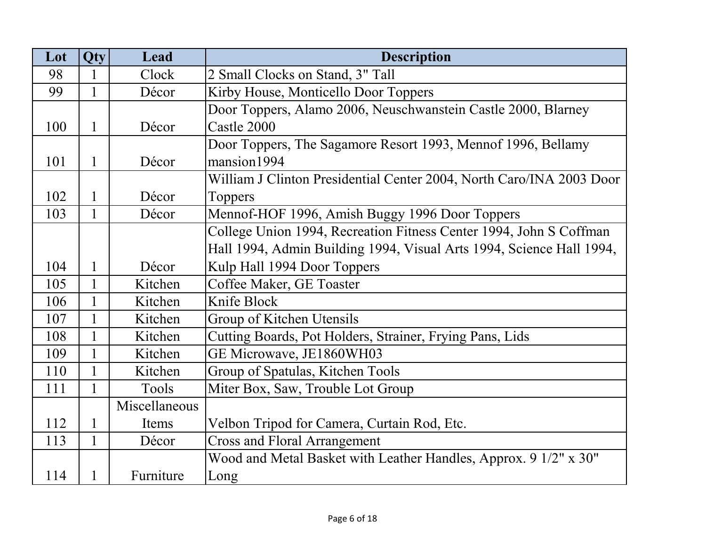| Lot | Qty          | Lead          | <b>Description</b>                                                   |
|-----|--------------|---------------|----------------------------------------------------------------------|
| 98  |              | Clock         | 2 Small Clocks on Stand, 3" Tall                                     |
| 99  | 1            | Décor         | Kirby House, Monticello Door Toppers                                 |
|     |              |               | Door Toppers, Alamo 2006, Neuschwanstein Castle 2000, Blarney        |
| 100 | 1            | Décor         | Castle 2000                                                          |
|     |              |               | Door Toppers, The Sagamore Resort 1993, Mennof 1996, Bellamy         |
| 101 | 1            | Décor         | mansion1994                                                          |
|     |              |               | William J Clinton Presidential Center 2004, North Caro/INA 2003 Door |
| 102 | 1            | Décor         | <b>Toppers</b>                                                       |
| 103 | $\mathbf{1}$ | Décor         | Mennof-HOF 1996, Amish Buggy 1996 Door Toppers                       |
|     |              |               | College Union 1994, Recreation Fitness Center 1994, John S Coffman   |
|     |              |               | Hall 1994, Admin Building 1994, Visual Arts 1994, Science Hall 1994, |
| 104 | 1            | Décor         | Kulp Hall 1994 Door Toppers                                          |
| 105 | $\mathbf{1}$ | Kitchen       | Coffee Maker, GE Toaster                                             |
| 106 |              | Kitchen       | Knife Block                                                          |
| 107 |              | Kitchen       | Group of Kitchen Utensils                                            |
| 108 |              | Kitchen       | Cutting Boards, Pot Holders, Strainer, Frying Pans, Lids             |
| 109 |              | Kitchen       | GE Microwave, JE1860WH03                                             |
| 110 | $\mathbf 1$  | Kitchen       | Group of Spatulas, Kitchen Tools                                     |
| 111 | $\mathbf{1}$ | Tools         | Miter Box, Saw, Trouble Lot Group                                    |
|     |              | Miscellaneous |                                                                      |
| 112 | 1            | Items         | Velbon Tripod for Camera, Curtain Rod, Etc.                          |
| 113 | $\mathbf{1}$ | Décor         | <b>Cross and Floral Arrangement</b>                                  |
|     |              |               | Wood and Metal Basket with Leather Handles, Approx. 9 1/2" x 30"     |
| 114 | 1            | Furniture     | Long                                                                 |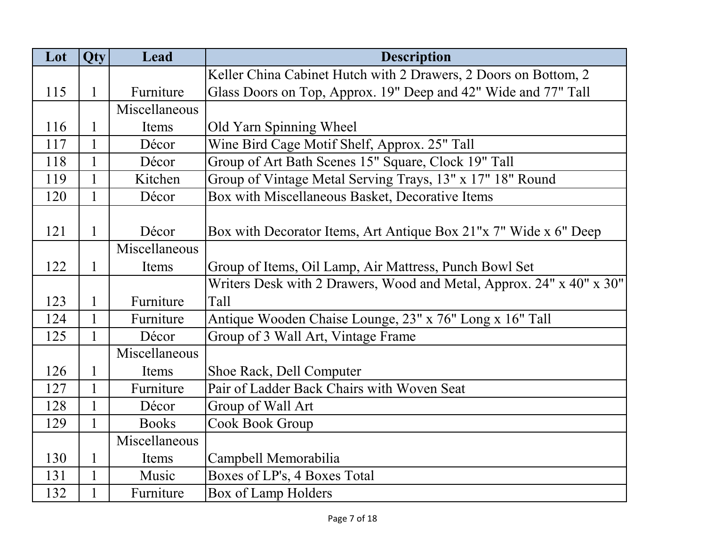| Lot | Qty          | Lead          | <b>Description</b>                                                   |
|-----|--------------|---------------|----------------------------------------------------------------------|
|     |              |               | Keller China Cabinet Hutch with 2 Drawers, 2 Doors on Bottom, 2      |
| 115 | $\mathbf{1}$ | Furniture     | Glass Doors on Top, Approx. 19" Deep and 42" Wide and 77" Tall       |
|     |              | Miscellaneous |                                                                      |
| 116 | 1            | Items         | Old Yarn Spinning Wheel                                              |
| 117 | $\mathbf{1}$ | Décor         | Wine Bird Cage Motif Shelf, Approx. 25" Tall                         |
| 118 | $\mathbf{1}$ | Décor         | Group of Art Bath Scenes 15" Square, Clock 19" Tall                  |
| 119 | $\mathbf{1}$ | Kitchen       | Group of Vintage Metal Serving Trays, 13" x 17" 18" Round            |
| 120 | $\mathbf{1}$ | Décor         | Box with Miscellaneous Basket, Decorative Items                      |
|     |              |               |                                                                      |
| 121 | $\mathbf{1}$ | Décor         | Box with Decorator Items, Art Antique Box 21"x 7" Wide x 6" Deep     |
|     |              | Miscellaneous |                                                                      |
| 122 | $\mathbf{1}$ | Items         | Group of Items, Oil Lamp, Air Mattress, Punch Bowl Set               |
|     |              |               | Writers Desk with 2 Drawers, Wood and Metal, Approx. 24" x 40" x 30" |
| 123 | $\mathbf{1}$ | Furniture     | Tall                                                                 |
| 124 | $\mathbf{1}$ | Furniture     | Antique Wooden Chaise Lounge, 23" x 76" Long x 16" Tall              |
| 125 | 1            | Décor         | Group of 3 Wall Art, Vintage Frame                                   |
|     |              | Miscellaneous |                                                                      |
| 126 | $\mathbf{1}$ | Items         | Shoe Rack, Dell Computer                                             |
| 127 | $\mathbf{1}$ | Furniture     | Pair of Ladder Back Chairs with Woven Seat                           |
| 128 | $\mathbf{1}$ | Décor         | Group of Wall Art                                                    |
| 129 | $\mathbf{1}$ | <b>Books</b>  | Cook Book Group                                                      |
|     |              | Miscellaneous |                                                                      |
| 130 | $\mathbf{1}$ | Items         | Campbell Memorabilia                                                 |
| 131 | $\mathbf{1}$ | Music         | Boxes of LP's, 4 Boxes Total                                         |
| 132 | $\mathbf{1}$ | Furniture     | Box of Lamp Holders                                                  |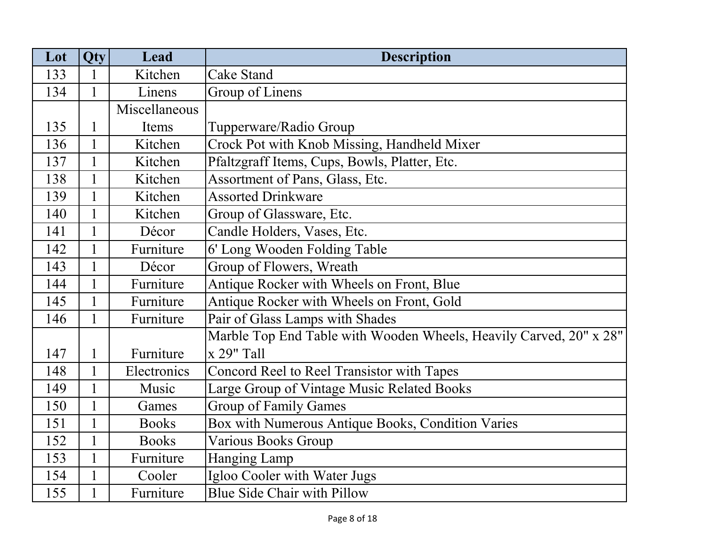| Lot | Qty          | Lead          | <b>Description</b>                                                 |
|-----|--------------|---------------|--------------------------------------------------------------------|
| 133 | 1            | Kitchen       | <b>Cake Stand</b>                                                  |
| 134 | $\mathbf{1}$ | Linens        | Group of Linens                                                    |
|     |              | Miscellaneous |                                                                    |
| 135 | $\mathbf{1}$ | Items         | Tupperware/Radio Group                                             |
| 136 | $\mathbf{1}$ | Kitchen       | Crock Pot with Knob Missing, Handheld Mixer                        |
| 137 | $\mathbf{1}$ | Kitchen       | Pfaltzgraff Items, Cups, Bowls, Platter, Etc.                      |
| 138 | $\mathbf{1}$ | Kitchen       | Assortment of Pans, Glass, Etc.                                    |
| 139 | $\mathbf{1}$ | Kitchen       | <b>Assorted Drinkware</b>                                          |
| 140 | $\mathbf{1}$ | Kitchen       | Group of Glassware, Etc.                                           |
| 141 |              | Décor         | Candle Holders, Vases, Etc.                                        |
| 142 | $\mathbf{1}$ | Furniture     | 6' Long Wooden Folding Table                                       |
| 143 | $\mathbf{1}$ | Décor         | Group of Flowers, Wreath                                           |
| 144 | $\mathbf{1}$ | Furniture     | Antique Rocker with Wheels on Front, Blue                          |
| 145 | $\mathbf{1}$ | Furniture     | Antique Rocker with Wheels on Front, Gold                          |
| 146 | $\mathbf{1}$ | Furniture     | Pair of Glass Lamps with Shades                                    |
|     |              |               | Marble Top End Table with Wooden Wheels, Heavily Carved, 20" x 28" |
| 147 | $\mathbf{1}$ | Furniture     | $x 29"$ Tall                                                       |
| 148 | $\mathbf{1}$ | Electronics   | Concord Reel to Reel Transistor with Tapes                         |
| 149 | $\mathbf{1}$ | Music         | Large Group of Vintage Music Related Books                         |
| 150 | $\mathbf{1}$ | Games         | <b>Group of Family Games</b>                                       |
| 151 | $\mathbf{1}$ | <b>Books</b>  | Box with Numerous Antique Books, Condition Varies                  |
| 152 | $\mathbf{1}$ | <b>Books</b>  | <b>Various Books Group</b>                                         |
| 153 | $\mathbf{1}$ | Furniture     | <b>Hanging Lamp</b>                                                |
| 154 | $\mathbf{1}$ | Cooler        | Igloo Cooler with Water Jugs                                       |
| 155 | $\mathbf{1}$ | Furniture     | <b>Blue Side Chair with Pillow</b>                                 |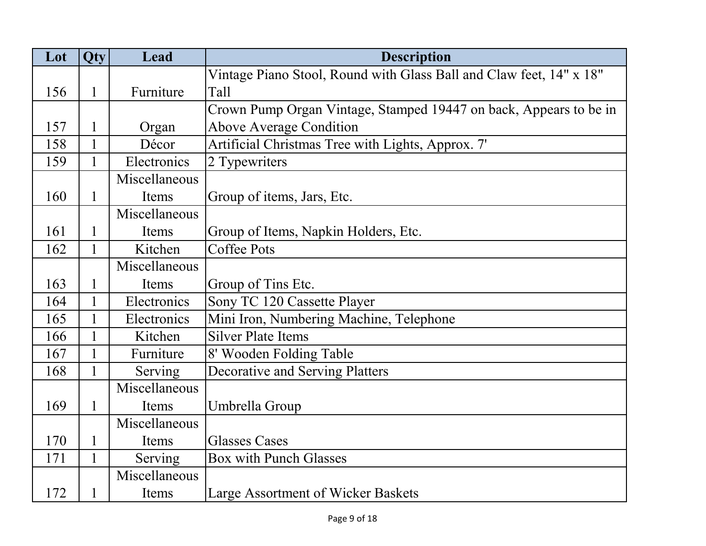| Lot | Qty          | Lead          | <b>Description</b>                                                  |
|-----|--------------|---------------|---------------------------------------------------------------------|
|     |              |               | Vintage Piano Stool, Round with Glass Ball and Claw feet, 14" x 18" |
| 156 | $\mathbf 1$  | Furniture     | Tall                                                                |
|     |              |               | Crown Pump Organ Vintage, Stamped 19447 on back, Appears to be in   |
| 157 |              | Organ         | <b>Above Average Condition</b>                                      |
| 158 |              | Décor         | Artificial Christmas Tree with Lights, Approx. 7'                   |
| 159 | $\mathbf{1}$ | Electronics   | 2 Typewriters                                                       |
|     |              | Miscellaneous |                                                                     |
| 160 | $\mathbf{1}$ | Items         | Group of items, Jars, Etc.                                          |
|     |              | Miscellaneous |                                                                     |
| 161 |              | Items         | Group of Items, Napkin Holders, Etc.                                |
| 162 | $\mathbf{1}$ | Kitchen       | <b>Coffee Pots</b>                                                  |
|     |              | Miscellaneous |                                                                     |
| 163 |              | Items         | Group of Tins Etc.                                                  |
| 164 | $\mathbf{1}$ | Electronics   | Sony TC 120 Cassette Player                                         |
| 165 | $\mathbf{1}$ | Electronics   | Mini Iron, Numbering Machine, Telephone                             |
| 166 |              | Kitchen       | <b>Silver Plate Items</b>                                           |
| 167 |              | Furniture     | 8' Wooden Folding Table                                             |
| 168 |              | Serving       | <b>Decorative and Serving Platters</b>                              |
|     |              | Miscellaneous |                                                                     |
| 169 | 1            | Items         | Umbrella Group                                                      |
|     |              | Miscellaneous |                                                                     |
| 170 | $\mathbf{1}$ | Items         | <b>Glasses Cases</b>                                                |
| 171 | $\mathbf{1}$ | Serving       | <b>Box with Punch Glasses</b>                                       |
|     |              | Miscellaneous |                                                                     |
| 172 |              | Items         | Large Assortment of Wicker Baskets                                  |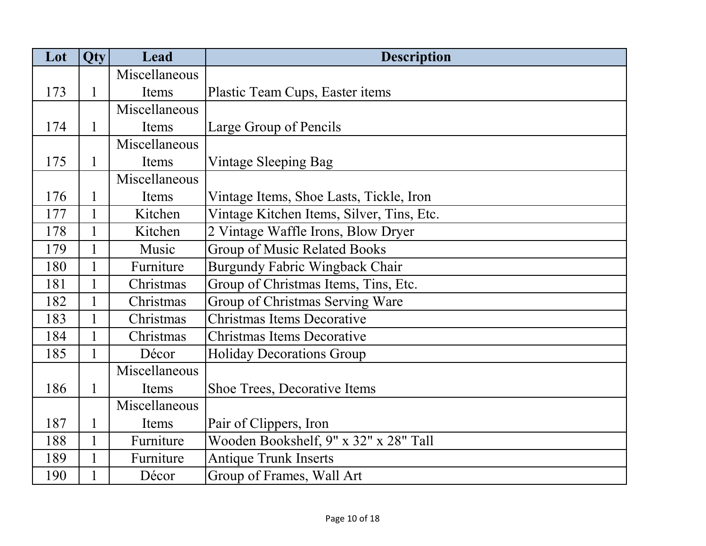| Lot | Qty          | Lead          | <b>Description</b>                        |
|-----|--------------|---------------|-------------------------------------------|
|     |              | Miscellaneous |                                           |
| 173 | 1            | Items         | Plastic Team Cups, Easter items           |
|     |              | Miscellaneous |                                           |
| 174 | $\mathbf{1}$ | Items         | Large Group of Pencils                    |
|     |              | Miscellaneous |                                           |
| 175 | $\mathbf{1}$ | Items         | Vintage Sleeping Bag                      |
|     |              | Miscellaneous |                                           |
| 176 | 1            | Items         | Vintage Items, Shoe Lasts, Tickle, Iron   |
| 177 | 1            | Kitchen       | Vintage Kitchen Items, Silver, Tins, Etc. |
| 178 | 1            | Kitchen       | 2 Vintage Waffle Irons, Blow Dryer        |
| 179 | $\mathbf{1}$ | Music         | Group of Music Related Books              |
| 180 | $\mathbf{1}$ | Furniture     | Burgundy Fabric Wingback Chair            |
| 181 | $\mathbf{1}$ | Christmas     | Group of Christmas Items, Tins, Etc.      |
| 182 | $\mathbf{1}$ | Christmas     | Group of Christmas Serving Ware           |
| 183 | $\mathbf{1}$ | Christmas     | <b>Christmas Items Decorative</b>         |
| 184 | $\mathbf{1}$ | Christmas     | <b>Christmas Items Decorative</b>         |
| 185 | $\mathbf{1}$ | Décor         | <b>Holiday Decorations Group</b>          |
|     |              | Miscellaneous |                                           |
| 186 | 1            | Items         | Shoe Trees, Decorative Items              |
|     |              | Miscellaneous |                                           |
| 187 | $\mathbf{1}$ | Items         | Pair of Clippers, Iron                    |
| 188 | $\mathbf{1}$ | Furniture     | Wooden Bookshelf, 9" x 32" x 28" Tall     |
| 189 | $\mathbf{1}$ | Furniture     | <b>Antique Trunk Inserts</b>              |
| 190 |              | Décor         | Group of Frames, Wall Art                 |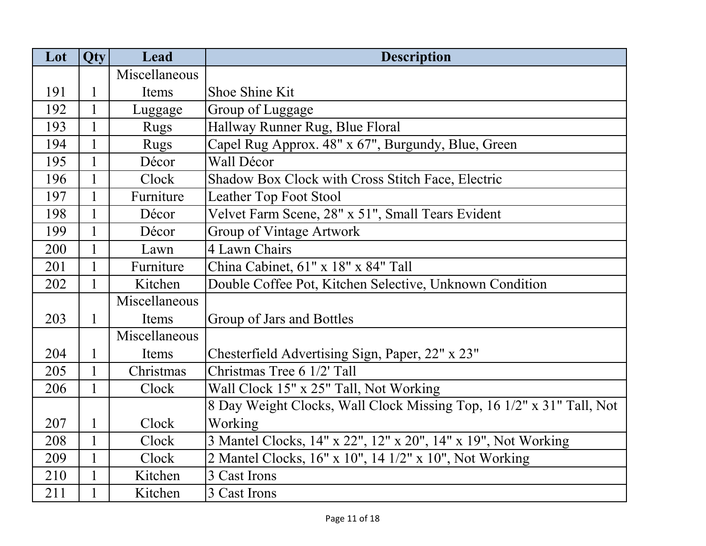| Lot | <b>Qty</b>   | Lead          | <b>Description</b>                                                   |
|-----|--------------|---------------|----------------------------------------------------------------------|
|     |              | Miscellaneous |                                                                      |
| 191 | $\mathbf{1}$ | Items         | Shoe Shine Kit                                                       |
| 192 | $\mathbf{1}$ | Luggage       | Group of Luggage                                                     |
| 193 | $\mathbf{1}$ | <b>Rugs</b>   | Hallway Runner Rug, Blue Floral                                      |
| 194 | $\mathbf{1}$ | <b>Rugs</b>   | Capel Rug Approx. 48" x 67", Burgundy, Blue, Green                   |
| 195 | $\mathbf{1}$ | Décor         | Wall Décor                                                           |
| 196 | $\mathbf{1}$ | Clock         | Shadow Box Clock with Cross Stitch Face, Electric                    |
| 197 | $\mathbf{1}$ | Furniture     | Leather Top Foot Stool                                               |
| 198 | $\mathbf{1}$ | Décor         | Velvet Farm Scene, 28" x 51", Small Tears Evident                    |
| 199 | $\mathbf{1}$ | Décor         | Group of Vintage Artwork                                             |
| 200 | $\mathbf{1}$ | Lawn          | 4 Lawn Chairs                                                        |
| 201 | $\mathbf{1}$ | Furniture     | China Cabinet, 61" x 18" x 84" Tall                                  |
| 202 | $\mathbf{1}$ | Kitchen       | Double Coffee Pot, Kitchen Selective, Unknown Condition              |
|     |              | Miscellaneous |                                                                      |
| 203 | $\mathbf{1}$ | Items         | Group of Jars and Bottles                                            |
|     |              | Miscellaneous |                                                                      |
| 204 | $\mathbf{1}$ | Items         | Chesterfield Advertising Sign, Paper, 22" x 23"                      |
| 205 | $\mathbf{1}$ | Christmas     | Christmas Tree 6 1/2' Tall                                           |
| 206 | $\mathbf{1}$ | Clock         | Wall Clock 15" x 25" Tall, Not Working                               |
|     |              |               | 8 Day Weight Clocks, Wall Clock Missing Top, 16 1/2" x 31" Tall, Not |
| 207 | $\mathbf{1}$ | Clock         | Working                                                              |
| 208 | $\mathbf{1}$ | Clock         | 3 Mantel Clocks, 14" x 22", 12" x 20", 14" x 19", Not Working        |
| 209 | $\mathbf{1}$ | Clock         | 2 Mantel Clocks, 16" x 10", 14 1/2" x 10", Not Working               |
| 210 | $\mathbf{1}$ | Kitchen       | 3 Cast Irons                                                         |
| 211 | $\mathbf{1}$ | Kitchen       | 3 Cast Irons                                                         |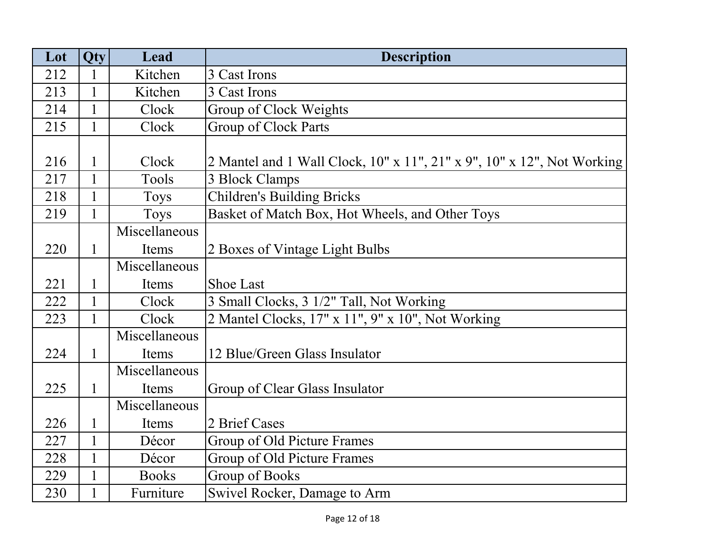| Lot | Qty          | Lead          | <b>Description</b>                                                     |
|-----|--------------|---------------|------------------------------------------------------------------------|
| 212 |              | Kitchen       | 3 Cast Irons                                                           |
| 213 | $\mathbf{1}$ | Kitchen       | 3 Cast Irons                                                           |
| 214 |              | Clock         | Group of Clock Weights                                                 |
| 215 |              | Clock         | Group of Clock Parts                                                   |
|     |              |               |                                                                        |
| 216 | 1            | Clock         | 2 Mantel and 1 Wall Clock, 10" x 11", 21" x 9", 10" x 12", Not Working |
| 217 | $\mathbf{1}$ | Tools         | 3 Block Clamps                                                         |
| 218 | 1            | <b>Toys</b>   | <b>Children's Building Bricks</b>                                      |
| 219 | 1            | <b>Toys</b>   | Basket of Match Box, Hot Wheels, and Other Toys                        |
|     |              | Miscellaneous |                                                                        |
| 220 | 1            | Items         | 2 Boxes of Vintage Light Bulbs                                         |
|     |              | Miscellaneous |                                                                        |
| 221 |              | Items         | <b>Shoe Last</b>                                                       |
| 222 | $\mathbf{1}$ | Clock         | 3 Small Clocks, 3 1/2" Tall, Not Working                               |
| 223 | 1            | Clock         | 2 Mantel Clocks, 17" x 11", 9" x 10", Not Working                      |
|     |              | Miscellaneous |                                                                        |
| 224 | 1            | Items         | 12 Blue/Green Glass Insulator                                          |
|     |              | Miscellaneous |                                                                        |
| 225 | $\mathbf 1$  | Items         | Group of Clear Glass Insulator                                         |
|     |              | Miscellaneous |                                                                        |
| 226 |              | Items         | 2 Brief Cases                                                          |
| 227 | $\mathbf{1}$ | Décor         | <b>Group of Old Picture Frames</b>                                     |
| 228 | 1            | Décor         | Group of Old Picture Frames                                            |
| 229 | 1            | <b>Books</b>  | Group of Books                                                         |
| 230 |              | Furniture     | Swivel Rocker, Damage to Arm                                           |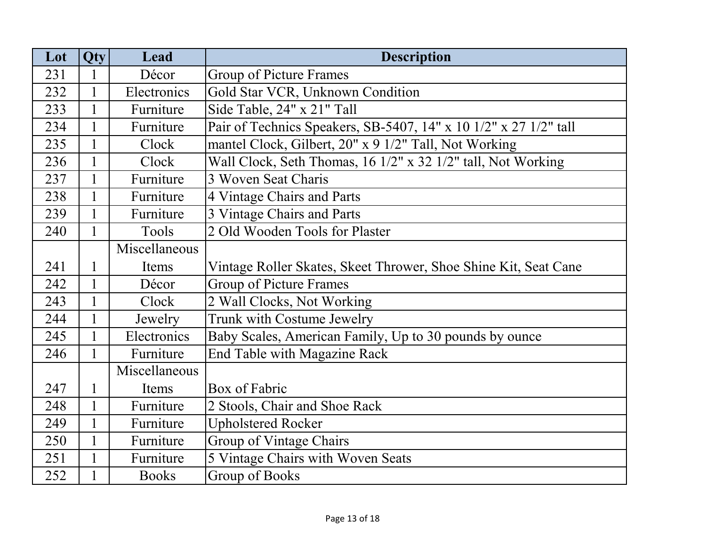| Lot | <b>Qty</b>   | Lead          | <b>Description</b>                                               |
|-----|--------------|---------------|------------------------------------------------------------------|
| 231 | 1            | Décor         | <b>Group of Picture Frames</b>                                   |
| 232 | $\mathbf{1}$ | Electronics   | Gold Star VCR, Unknown Condition                                 |
| 233 | 1            | Furniture     | Side Table, 24" x 21" Tall                                       |
| 234 | 1            | Furniture     | Pair of Technics Speakers, SB-5407, 14" x 10 1/2" x 27 1/2" tall |
| 235 | 1            | Clock         | mantel Clock, Gilbert, 20" x 9 1/2" Tall, Not Working            |
| 236 | 1            | Clock         | Wall Clock, Seth Thomas, 16 1/2" x 32 1/2" tall, Not Working     |
| 237 | 1            | Furniture     | 3 Woven Seat Charis                                              |
| 238 |              | Furniture     | 4 Vintage Chairs and Parts                                       |
| 239 | 1            | Furniture     | 3 Vintage Chairs and Parts                                       |
| 240 |              | Tools         | 2 Old Wooden Tools for Plaster                                   |
|     |              | Miscellaneous |                                                                  |
| 241 |              | Items         | Vintage Roller Skates, Skeet Thrower, Shoe Shine Kit, Seat Cane  |
| 242 |              | Décor         | <b>Group of Picture Frames</b>                                   |
| 243 |              | Clock         | 2 Wall Clocks, Not Working                                       |
| 244 | $\mathbf{1}$ | Jewelry       | Trunk with Costume Jewelry                                       |
| 245 | 1            | Electronics   | Baby Scales, American Family, Up to 30 pounds by ounce           |
| 246 | $\mathbf{1}$ | Furniture     | End Table with Magazine Rack                                     |
|     |              | Miscellaneous |                                                                  |
| 247 | 1            | Items         | Box of Fabric                                                    |
| 248 | 1            | Furniture     | 2 Stools, Chair and Shoe Rack                                    |
| 249 | 1            | Furniture     | <b>Upholstered Rocker</b>                                        |
| 250 |              | Furniture     | Group of Vintage Chairs                                          |
| 251 |              | Furniture     | 5 Vintage Chairs with Woven Seats                                |
| 252 |              | <b>Books</b>  | Group of Books                                                   |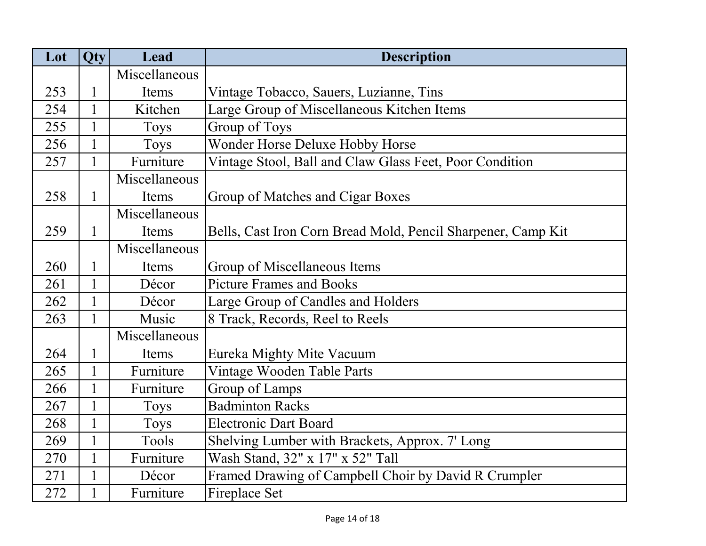| Lot | <b>Qty</b>   | Lead          | <b>Description</b>                                           |
|-----|--------------|---------------|--------------------------------------------------------------|
|     |              | Miscellaneous |                                                              |
| 253 |              | Items         | Vintage Tobacco, Sauers, Luzianne, Tins                      |
| 254 | $\mathbf{1}$ | Kitchen       | Large Group of Miscellaneous Kitchen Items                   |
| 255 |              | <b>Toys</b>   | Group of Toys                                                |
| 256 | $\mathbf{1}$ | Toys          | Wonder Horse Deluxe Hobby Horse                              |
| 257 | $\mathbf{1}$ | Furniture     | Vintage Stool, Ball and Claw Glass Feet, Poor Condition      |
|     |              | Miscellaneous |                                                              |
| 258 | $\mathbf{1}$ | Items         | Group of Matches and Cigar Boxes                             |
|     |              | Miscellaneous |                                                              |
| 259 | 1            | Items         | Bells, Cast Iron Corn Bread Mold, Pencil Sharpener, Camp Kit |
|     |              | Miscellaneous |                                                              |
| 260 |              | Items         | Group of Miscellaneous Items                                 |
| 261 | $\mathbf{1}$ | Décor         | <b>Picture Frames and Books</b>                              |
| 262 | $\mathbf{1}$ | Décor         | Large Group of Candles and Holders                           |
| 263 | 1            | Music         | 8 Track, Records, Reel to Reels                              |
|     |              | Miscellaneous |                                                              |
| 264 | 1            | Items         | Eureka Mighty Mite Vacuum                                    |
| 265 | $\mathbf{1}$ | Furniture     | Vintage Wooden Table Parts                                   |
| 266 |              | Furniture     | Group of Lamps                                               |
| 267 |              | <b>Toys</b>   | <b>Badminton Racks</b>                                       |
| 268 | $\mathbf{1}$ | Toys          | <b>Electronic Dart Board</b>                                 |
| 269 | $\mathbf{1}$ | Tools         | Shelving Lumber with Brackets, Approx. 7' Long               |
| 270 | $\mathbf{1}$ | Furniture     | Wash Stand, 32" x 17" x 52" Tall                             |
| 271 | $\mathbf{1}$ | Décor         | Framed Drawing of Campbell Choir by David R Crumpler         |
| 272 |              | Furniture     | <b>Fireplace Set</b>                                         |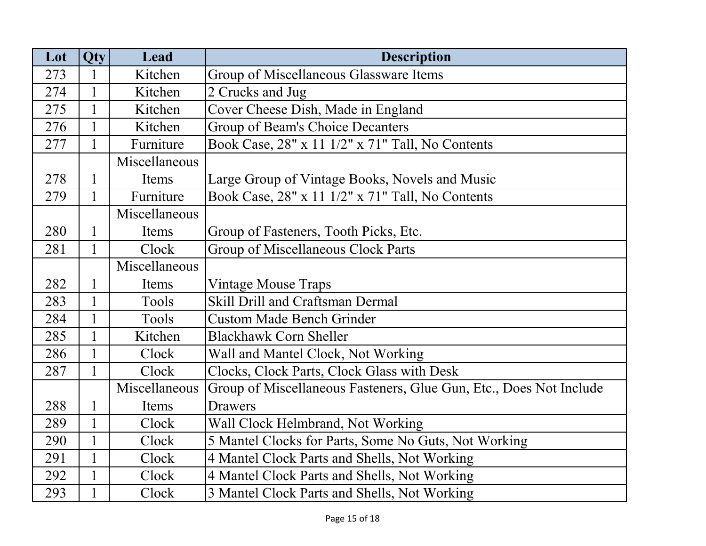| Lot | Qty          | Lead          | <b>Description</b>                                                 |
|-----|--------------|---------------|--------------------------------------------------------------------|
| 273 | 1            | Kitchen       | Group of Miscellaneous Glassware Items                             |
| 274 | 1            | Kitchen       | 2 Crucks and Jug                                                   |
| 275 | $\mathbf{1}$ | Kitchen       | Cover Cheese Dish, Made in England                                 |
| 276 | 1            | Kitchen       | Group of Beam's Choice Decanters                                   |
| 277 | $\mathbf{1}$ | Furniture     | Book Case, 28" x 11 1/2" x 71" Tall, No Contents                   |
|     |              | Miscellaneous |                                                                    |
| 278 | 1            | Items         | Large Group of Vintage Books, Novels and Music                     |
| 279 | $\mathbf{1}$ | Furniture     | Book Case, 28" x 11 1/2" x 71" Tall, No Contents                   |
|     |              | Miscellaneous |                                                                    |
| 280 | $\mathbf 1$  | Items         | Group of Fasteners, Tooth Picks, Etc.                              |
| 281 | $\mathbf{1}$ | Clock         | Group of Miscellaneous Clock Parts                                 |
|     |              | Miscellaneous |                                                                    |
| 282 | $\mathbf 1$  | Items         | <b>Vintage Mouse Traps</b>                                         |
| 283 | $\mathbf{1}$ | Tools         | Skill Drill and Craftsman Dermal                                   |
| 284 | $\mathbf{1}$ | Tools         | <b>Custom Made Bench Grinder</b>                                   |
| 285 | $\mathbf{1}$ | Kitchen       | <b>Blackhawk Corn Sheller</b>                                      |
| 286 | $\mathbf{1}$ | Clock         | Wall and Mantel Clock, Not Working                                 |
| 287 | $\mathbf 1$  | Clock         | Clocks, Clock Parts, Clock Glass with Desk                         |
|     |              | Miscellaneous | Group of Miscellaneous Fasteners, Glue Gun, Etc., Does Not Include |
| 288 | 1            | Items         | <b>Drawers</b>                                                     |
| 289 | $\mathbf{1}$ | Clock         | Wall Clock Helmbrand, Not Working                                  |
| 290 | $\mathbf{1}$ | Clock         | 5 Mantel Clocks for Parts, Some No Guts, Not Working               |
| 291 | $\mathbf{1}$ | Clock         | 4 Mantel Clock Parts and Shells, Not Working                       |
| 292 | $\mathbf{1}$ | Clock         | 4 Mantel Clock Parts and Shells, Not Working                       |
| 293 | 1            | Clock         | 3 Mantel Clock Parts and Shells, Not Working                       |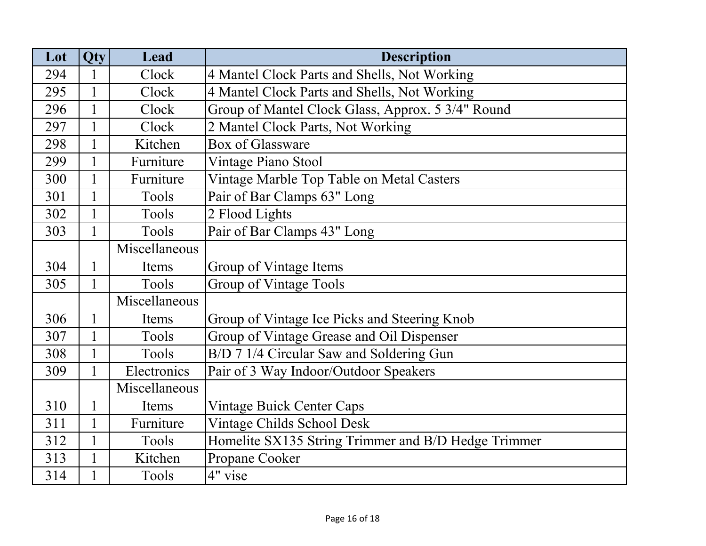| Lot | <b>Qty</b>   | Lead          | <b>Description</b>                                  |
|-----|--------------|---------------|-----------------------------------------------------|
| 294 | 1            | Clock         | 4 Mantel Clock Parts and Shells, Not Working        |
| 295 | 1            | Clock         | 4 Mantel Clock Parts and Shells, Not Working        |
| 296 | 1            | Clock         | Group of Mantel Clock Glass, Approx. 5 3/4" Round   |
| 297 | 1            | Clock         | 2 Mantel Clock Parts, Not Working                   |
| 298 | $\mathbf{1}$ | Kitchen       | <b>Box of Glassware</b>                             |
| 299 |              | Furniture     | Vintage Piano Stool                                 |
| 300 | 1            | Furniture     | Vintage Marble Top Table on Metal Casters           |
| 301 |              | Tools         | Pair of Bar Clamps 63" Long                         |
| 302 | $\mathbf{1}$ | Tools         | 2 Flood Lights                                      |
| 303 |              | Tools         | Pair of Bar Clamps 43" Long                         |
|     |              | Miscellaneous |                                                     |
| 304 |              | Items         | Group of Vintage Items                              |
| 305 | $\mathbf{1}$ | Tools         | Group of Vintage Tools                              |
|     |              | Miscellaneous |                                                     |
| 306 |              | Items         | Group of Vintage Ice Picks and Steering Knob        |
| 307 |              | Tools         | Group of Vintage Grease and Oil Dispenser           |
| 308 | $\mathbf{1}$ | Tools         | B/D 7 1/4 Circular Saw and Soldering Gun            |
| 309 |              | Electronics   | Pair of 3 Way Indoor/Outdoor Speakers               |
|     |              | Miscellaneous |                                                     |
| 310 |              | Items         | Vintage Buick Center Caps                           |
| 311 | $\mathbf{1}$ | Furniture     | Vintage Childs School Desk                          |
| 312 | $\mathbf{1}$ | Tools         | Homelite SX135 String Trimmer and B/D Hedge Trimmer |
| 313 | $\mathbf{1}$ | Kitchen       | Propane Cooker                                      |
| 314 |              | Tools         | 4" vise                                             |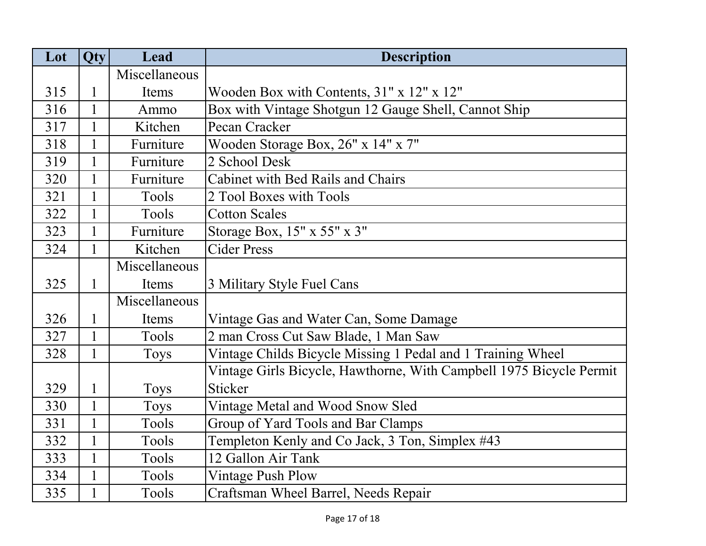| Lot | <b>Qty</b>   | Lead          | <b>Description</b>                                                  |
|-----|--------------|---------------|---------------------------------------------------------------------|
|     |              | Miscellaneous |                                                                     |
| 315 |              | Items         | Wooden Box with Contents, 31" x 12" x 12"                           |
| 316 |              | Ammo          | Box with Vintage Shotgun 12 Gauge Shell, Cannot Ship                |
| 317 |              | Kitchen       | Pecan Cracker                                                       |
| 318 |              | Furniture     | Wooden Storage Box, 26" x 14" x 7"                                  |
| 319 | $\mathbf{1}$ | Furniture     | 2 School Desk                                                       |
| 320 | $\mathbf{1}$ | Furniture     | Cabinet with Bed Rails and Chairs                                   |
| 321 | $\mathbf{1}$ | Tools         | 2 Tool Boxes with Tools                                             |
| 322 |              | Tools         | <b>Cotton Scales</b>                                                |
| 323 | $\mathbf{1}$ | Furniture     | Storage Box, 15" x 55" x 3"                                         |
| 324 |              | Kitchen       | <b>Cider Press</b>                                                  |
|     |              | Miscellaneous |                                                                     |
| 325 |              | Items         | 3 Military Style Fuel Cans                                          |
|     |              | Miscellaneous |                                                                     |
| 326 | 1            | Items         | Vintage Gas and Water Can, Some Damage                              |
| 327 | 1            | Tools         | 2 man Cross Cut Saw Blade, 1 Man Saw                                |
| 328 | $\mathbf{1}$ | <b>Toys</b>   | Vintage Childs Bicycle Missing 1 Pedal and 1 Training Wheel         |
|     |              |               | Vintage Girls Bicycle, Hawthorne, With Campbell 1975 Bicycle Permit |
| 329 | 1            | <b>Toys</b>   | Sticker                                                             |
| 330 |              | Toys          | Vintage Metal and Wood Snow Sled                                    |
| 331 | $\mathbf{1}$ | Tools         | Group of Yard Tools and Bar Clamps                                  |
| 332 | $\mathbf{1}$ | Tools         | Templeton Kenly and Co Jack, 3 Ton, Simplex #43                     |
| 333 | 1            | Tools         | 12 Gallon Air Tank                                                  |
| 334 | 1            | Tools         | <b>Vintage Push Plow</b>                                            |
| 335 |              | Tools         | Craftsman Wheel Barrel, Needs Repair                                |